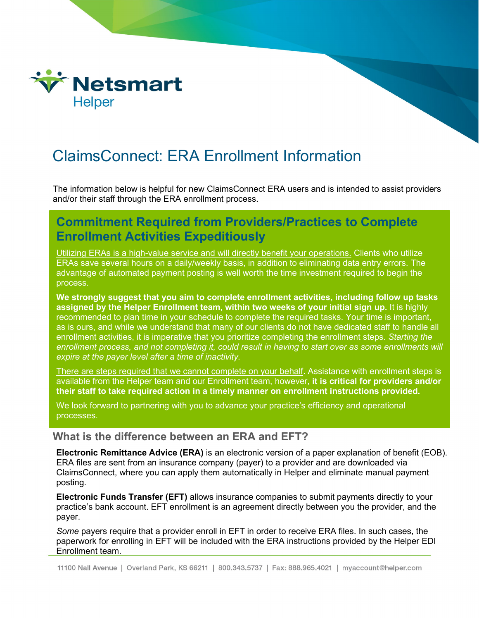

# ClaimsConnect: ERA Enrollment Information

The information below is helpful for new ClaimsConnect ERA users and is intended to assist providers and/or their staff through the ERA enrollment process.

# **Commitment Required from Providers/Practices to Complete Enrollment Activities Expeditiously**

Utilizing ERAs is a high-value service and will directly benefit your operations. Clients who utilize ERAs save several hours on a daily/weekly basis, in addition to eliminating data entry errors. The advantage of automated payment posting is well worth the time investment required to begin the process.

**We strongly suggest that you aim to complete enrollment activities, including follow up tasks assigned by the Helper Enrollment team, within two weeks of your initial sign up.** It is highly recommended to plan time in your schedule to complete the required tasks. Your time is important, as is ours, and while we understand that many of our clients do not have dedicated staff to handle all enrollment activities, it is imperative that you prioritize completing the enrollment steps. *Starting the enrollment process, and not completing it, could result in having to start over as some enrollments will expire at the payer level after a time of inactivity.* 

There are steps required that we cannot complete on your behalf. Assistance with enrollment steps is available from the Helper team and our Enrollment team, however, **it is critical for providers and/or their staff to take required action in a timely manner on enrollment instructions provided.**

We look forward to partnering with you to advance your practice's efficiency and operational processes.

## **What is the difference between an ERA and EFT?**

**Electronic Remittance Advice (ERA)** is an electronic version of a paper explanation of benefit (EOB). ERA files are sent from an insurance company (payer) to a provider and are downloaded via ClaimsConnect, where you can apply them automatically in Helper and eliminate manual payment posting.

**Electronic Funds Transfer (EFT)** allows insurance companies to submit payments directly to your practice's bank account. EFT enrollment is an agreement directly between you the provider, and the payer.

*Some* payers require that a provider enroll in EFT in order to receive ERA files. In such cases, the paperwork for enrolling in EFT will be included with the ERA instructions provided by the Helper EDI Enrollment team.